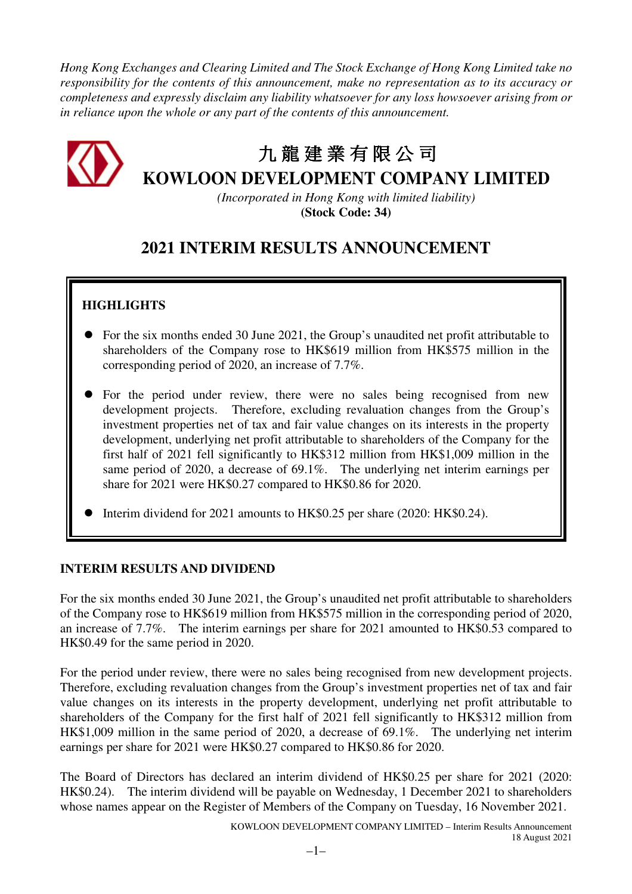*Hong Kong Exchanges and Clearing Limited and The Stock Exchange of Hong Kong Limited take no responsibility for the contents of this announcement, make no representation as to its accuracy or completeness and expressly disclaim any liability whatsoever for any loss howsoever arising from or in reliance upon the whole or any part of the contents of this announcement.* 



# 九 龍建業有限公司

**KOWLOON DEVELOPMENT COMPANY LIMITED** 

*(Incorporated in Hong Kong with limited liability)*  **(Stock Code: 34)** 

# **2021 INTERIM RESULTS ANNOUNCEMENT**

# **HIGHLIGHTS**

- For the six months ended 30 June 2021, the Group's unaudited net profit attributable to shareholders of the Company rose to HK\$619 million from HK\$575 million in the corresponding period of 2020, an increase of 7.7%.
- For the period under review, there were no sales being recognised from new development projects. Therefore, excluding revaluation changes from the Group's investment properties net of tax and fair value changes on its interests in the property development, underlying net profit attributable to shareholders of the Company for the first half of 2021 fell significantly to HK\$312 million from HK\$1,009 million in the same period of 2020, a decrease of 69.1%. The underlying net interim earnings per share for 2021 were HK\$0.27 compared to HK\$0.86 for 2020.

Interim dividend for 2021 amounts to HK\$0.25 per share (2020: HK\$0.24).

### **INTERIM RESULTS AND DIVIDEND**

For the six months ended 30 June 2021, the Group's unaudited net profit attributable to shareholders of the Company rose to HK\$619 million from HK\$575 million in the corresponding period of 2020, an increase of 7.7%. The interim earnings per share for 2021 amounted to HK\$0.53 compared to HK\$0.49 for the same period in 2020.

For the period under review, there were no sales being recognised from new development projects. Therefore, excluding revaluation changes from the Group's investment properties net of tax and fair value changes on its interests in the property development, underlying net profit attributable to shareholders of the Company for the first half of 2021 fell significantly to HK\$312 million from HK\$1,009 million in the same period of 2020, a decrease of 69.1%. The underlying net interim earnings per share for 2021 were HK\$0.27 compared to HK\$0.86 for 2020.

The Board of Directors has declared an interim dividend of HK\$0.25 per share for 2021 (2020: HK\$0.24). The interim dividend will be payable on Wednesday, 1 December 2021 to shareholders whose names appear on the Register of Members of the Company on Tuesday, 16 November 2021.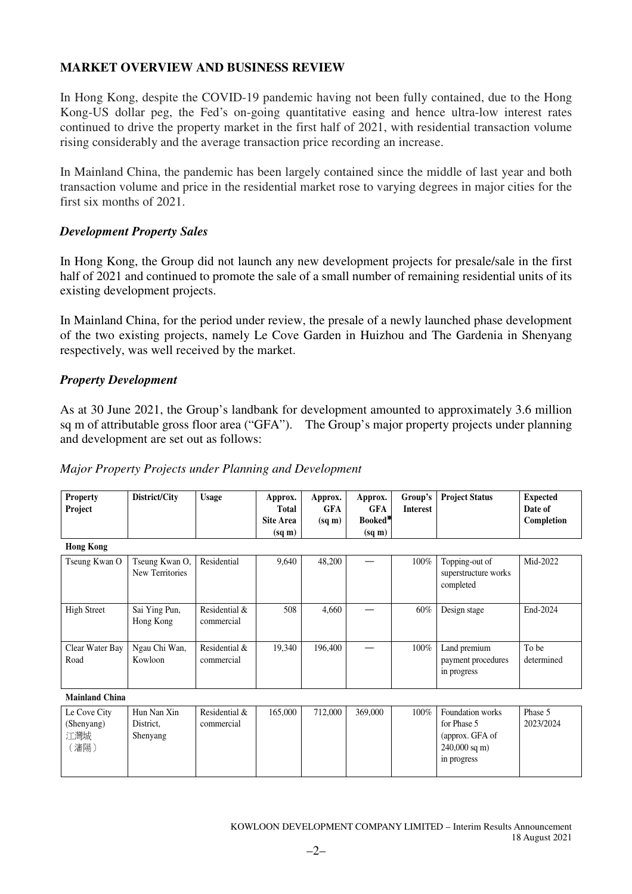### **MARKET OVERVIEW AND BUSINESS REVIEW**

In Hong Kong, despite the COVID-19 pandemic having not been fully contained, due to the Hong Kong-US dollar peg, the Fed's on-going quantitative easing and hence ultra-low interest rates continued to drive the property market in the first half of 2021, with residential transaction volume rising considerably and the average transaction price recording an increase.

In Mainland China, the pandemic has been largely contained since the middle of last year and both transaction volume and price in the residential market rose to varying degrees in major cities for the first six months of 2021.

### *Development Property Sales*

In Hong Kong, the Group did not launch any new development projects for presale/sale in the first half of 2021 and continued to promote the sale of a small number of remaining residential units of its existing development projects.

In Mainland China, for the period under review, the presale of a newly launched phase development of the two existing projects, namely Le Cove Garden in Huizhou and The Gardenia in Shenyang respectively, was well received by the market.

### *Property Development*

As at 30 June 2021, the Group's landbank for development amounted to approximately 3.6 million sq m of attributable gross floor area ("GFA"). The Group's major property projects under planning and development are set out as follows:

### *Major Property Projects under Planning and Development*

| <b>Property</b><br>Project | District/City                     | <b>Usage</b>                | Approx.<br>Total<br><b>Site Area</b><br>$(sq \, \text{m})$ | Approx.<br><b>GFA</b><br>$(sq \, \text{m})$ | Approx.<br><b>GFA</b><br>Booked*<br>$(sq \, \text{m})$ | Group's<br><b>Interest</b> | <b>Project Status</b>                               | <b>Expected</b><br>Date of<br>Completion                                |
|----------------------------|-----------------------------------|-----------------------------|------------------------------------------------------------|---------------------------------------------|--------------------------------------------------------|----------------------------|-----------------------------------------------------|-------------------------------------------------------------------------|
| <b>Hong Kong</b>           |                                   |                             |                                                            |                                             |                                                        |                            |                                                     |                                                                         |
| Tseung Kwan O              | Tseung Kwan O,<br>New Territories | Residential                 | 9,640                                                      | 48,200                                      |                                                        | 100%                       | Topping-out of<br>superstructure works<br>completed | Mid-2022                                                                |
| <b>High Street</b>         | Sai Ying Pun,<br>Hong Kong        | Residential &<br>commercial | 508                                                        | 4,660                                       |                                                        | 60%                        | Design stage                                        | End-2024                                                                |
| Clear Water Bay<br>Road    | Ngau Chi Wan,<br>Kowloon          | Residential &<br>commercial | 19,340                                                     | 196,400                                     |                                                        | 100%                       | Land premium<br>payment procedures<br>in progress   | To be<br>determined                                                     |
| <b>Mainland China</b>      |                                   |                             |                                                            |                                             |                                                        |                            |                                                     |                                                                         |
| Le Cove City               | Hun Nan Xin<br>$\mathbf{r}$ .     | Residential &               | 165,000                                                    | 712,000                                     | 369,000                                                | 100%                       | Foundation works<br>$\sim$ $\sim$ $\sim$            | Phase 5<br>$\begin{array}{c} \n\text{a} \\ \n\text{b} \\ \n\end{array}$ |

| $\sim$ $\sim$ $\sim$ $\sim$ $\sim$ $\sim$ | ****** * **** * **** |            | $-00,000$ | $1 - 2 - 1000$ | . | . |                 | -------   |
|-------------------------------------------|----------------------|------------|-----------|----------------|---|---|-----------------|-----------|
| (Shenyang)                                | District.            | commercial |           |                |   |   | for Phase 5     | 2023/2024 |
| 江灣城                                       | Shenyang             |            |           |                |   |   | (approx. GFA of |           |
| 瀋陽)                                       |                      |            |           |                |   |   | $240,000$ sq m) |           |
|                                           |                      |            |           |                |   |   | in progress     |           |
|                                           |                      |            |           |                |   |   |                 |           |
|                                           |                      |            |           |                |   |   |                 |           |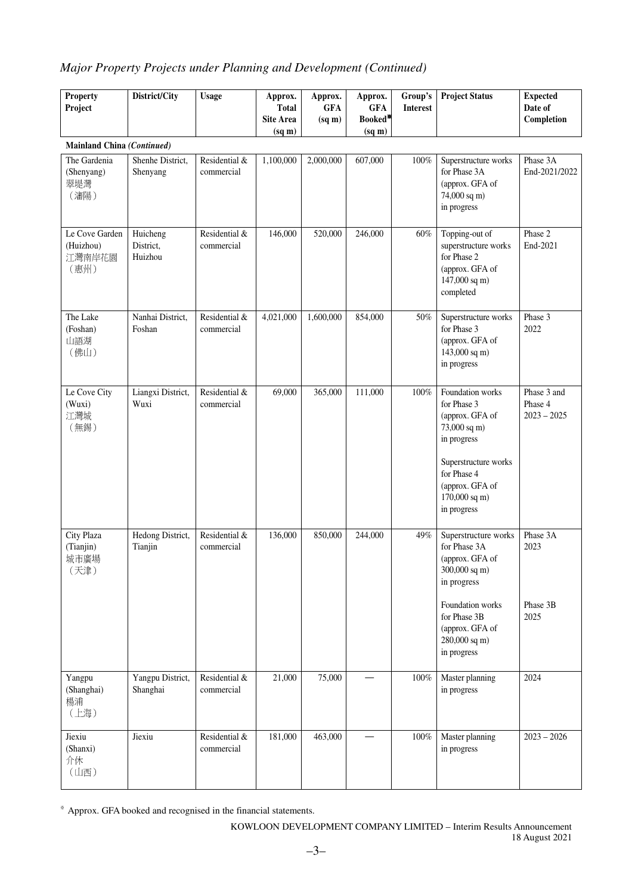# *Major Property Projects under Planning and Development (Continued)*

| <b>Property</b><br>Project                    | District/City                    | <b>Usage</b>                | Approx.<br><b>Total</b><br><b>Site Area</b><br>$(sq \, \text{m})$ | Approx.<br><b>GFA</b><br>(sq m) | Approx.<br><b>GFA</b><br>Booked*<br>$(sq \, m)$ | Group's<br><b>Interest</b> | <b>Project Status</b>                                                                                                                                                          | <b>Expected</b><br>Date of<br>Completion |
|-----------------------------------------------|----------------------------------|-----------------------------|-------------------------------------------------------------------|---------------------------------|-------------------------------------------------|----------------------------|--------------------------------------------------------------------------------------------------------------------------------------------------------------------------------|------------------------------------------|
| Mainland China (Continued)                    |                                  |                             |                                                                   |                                 |                                                 |                            |                                                                                                                                                                                |                                          |
| The Gardenia<br>(Shenyang)<br>翠堤灣<br>(瀋陽)     | Shenhe District,<br>Shenyang     | Residential &<br>commercial | 1,100,000                                                         | 2,000,000                       | 607,000                                         | 100%                       | Superstructure works<br>for Phase 3A<br>(approx. GFA of<br>74,000 sq m)<br>in progress                                                                                         | Phase 3A<br>End-2021/2022                |
| Le Cove Garden<br>(Huizhou)<br>江灣南岸花園<br>(惠州) | Huicheng<br>District,<br>Huizhou | Residential &<br>commercial | 146,000                                                           | 520,000                         | 246,000                                         | 60%                        | Topping-out of<br>superstructure works<br>for Phase 2<br>(approx. GFA of<br>147,000 sq m)<br>completed                                                                         | Phase 2<br>End-2021                      |
| The Lake<br>(Foshan)<br>山語湖<br>(佛山)           | Nanhai District,<br>Foshan       | Residential &<br>commercial | 4,021,000                                                         | 1,600,000                       | 854,000                                         | $50\%$                     | Superstructure works<br>for Phase 3<br>(approx. GFA of<br>143,000 sq m)<br>in progress                                                                                         | Phase 3<br>2022                          |
| Le Cove City<br>(Wuxi)<br>江灣城<br>(無錫)         | Liangxi District,<br>Wuxi        | Residential &<br>commercial | 69,000                                                            | 365,000                         | 111,000                                         | 100%                       | Foundation works<br>for Phase 3<br>(approx. GFA of<br>73,000 sq m)<br>in progress<br>Superstructure works<br>for Phase 4<br>(approx. GFA of<br>170,000 sq m)<br>in progress    | Phase 3 and<br>Phase 4<br>$2023 - 2025$  |
| City Plaza<br>(Tianjin)<br>城市廣場<br>(天津)       | Hedong District,<br>Tianjin      | Residential &<br>commercial | 136,000                                                           | 850,000                         | 244,000                                         | 49%                        | Superstructure works<br>for Phase 3A<br>(approx. GFA of<br>300,000 sq m)<br>in progress<br>Foundation works<br>for Phase 3B<br>(approx. GFA of<br>280,000 sq m)<br>in progress | Phase 3A<br>2023<br>Phase 3B<br>2025     |
| Yangpu<br>(Shanghai)<br>楊浦<br>(上海)            | Yangpu District,<br>Shanghai     | Residential &<br>commercial | 21,000                                                            | 75,000                          |                                                 | 100%                       | Master planning<br>in progress                                                                                                                                                 | 2024                                     |
| Jiexiu<br>(Shanxi)<br>介休<br>(山西)              | Jiexiu                           | Residential &<br>commercial | 181,000                                                           | 463,000                         |                                                 | 100%                       | Master planning<br>in progress                                                                                                                                                 | $2023 - 2026$                            |

※ Approx. GFA booked and recognised in the financial statements.

KOWLOON DEVELOPMENT COMPANY LIMITED – Interim Results Announcement 18 August 2021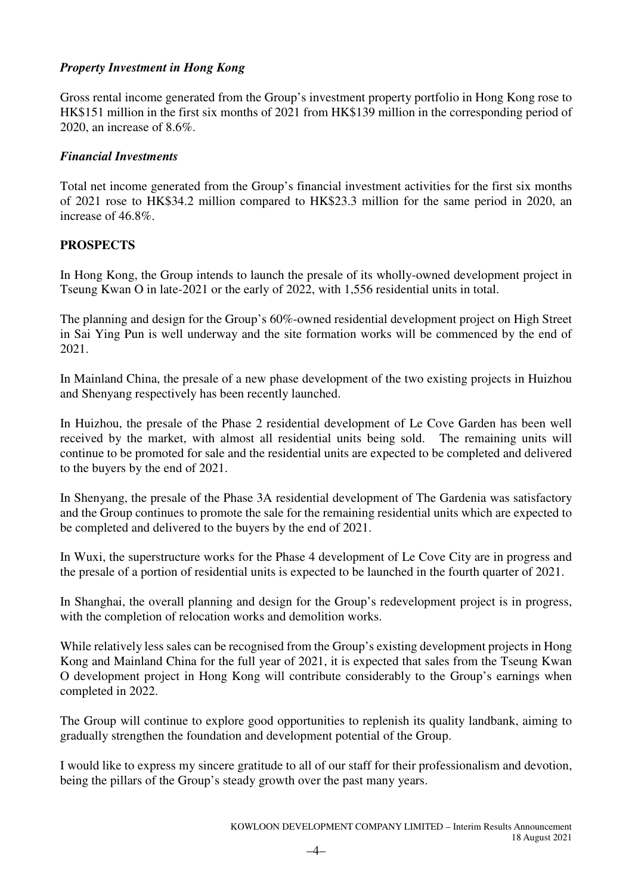### *Property Investment in Hong Kong*

Gross rental income generated from the Group's investment property portfolio in Hong Kong rose to HK\$151 million in the first six months of 2021 from HK\$139 million in the corresponding period of 2020, an increase of 8.6%.

### *Financial Investments*

Total net income generated from the Group's financial investment activities for the first six months of 2021 rose to HK\$34.2 million compared to HK\$23.3 million for the same period in 2020, an increase of 46.8%.

### **PROSPECTS**

In Hong Kong, the Group intends to launch the presale of its wholly-owned development project in Tseung Kwan O in late-2021 or the early of 2022, with 1,556 residential units in total.

The planning and design for the Group's 60%-owned residential development project on High Street in Sai Ying Pun is well underway and the site formation works will be commenced by the end of 2021.

In Mainland China, the presale of a new phase development of the two existing projects in Huizhou and Shenyang respectively has been recently launched.

In Huizhou, the presale of the Phase 2 residential development of Le Cove Garden has been well received by the market, with almost all residential units being sold. The remaining units will continue to be promoted for sale and the residential units are expected to be completed and delivered to the buyers by the end of 2021.

In Shenyang, the presale of the Phase 3A residential development of The Gardenia was satisfactory and the Group continues to promote the sale for the remaining residential units which are expected to be completed and delivered to the buyers by the end of 2021.

In Wuxi, the superstructure works for the Phase 4 development of Le Cove City are in progress and the presale of a portion of residential units is expected to be launched in the fourth quarter of 2021.

In Shanghai, the overall planning and design for the Group's redevelopment project is in progress, with the completion of relocation works and demolition works.

While relatively less sales can be recognised from the Group's existing development projects in Hong Kong and Mainland China for the full year of 2021, it is expected that sales from the Tseung Kwan O development project in Hong Kong will contribute considerably to the Group's earnings when completed in 2022.

The Group will continue to explore good opportunities to replenish its quality landbank, aiming to gradually strengthen the foundation and development potential of the Group.

I would like to express my sincere gratitude to all of our staff for their professionalism and devotion, being the pillars of the Group's steady growth over the past many years.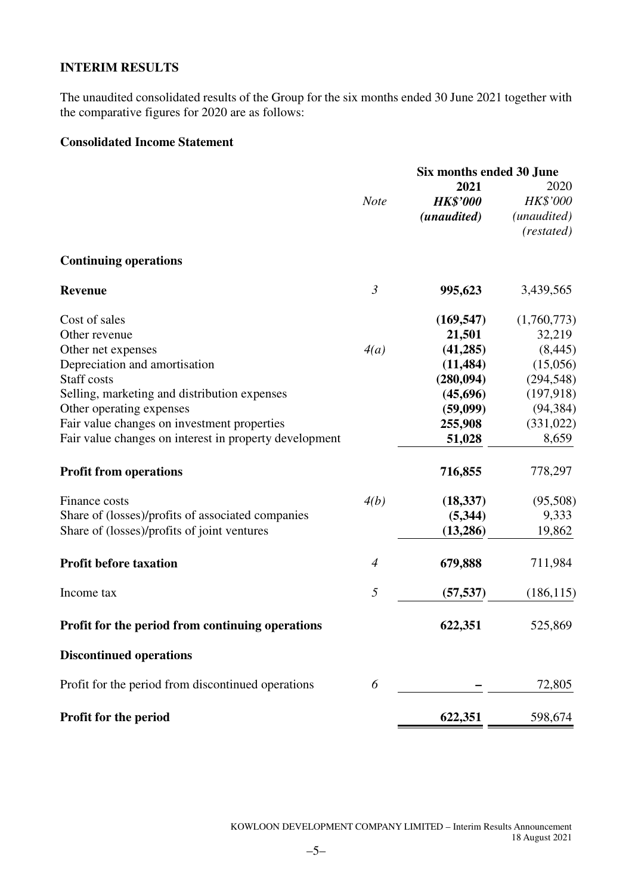### **INTERIM RESULTS**

The unaudited consolidated results of the Group for the six months ended 30 June 2021 together with the comparative figures for 2020 are as follows:

### **Consolidated Income Statement**

|                                                        |                | Six months ended 30 June |                           |  |  |
|--------------------------------------------------------|----------------|--------------------------|---------------------------|--|--|
|                                                        | <b>Note</b>    | 2021<br><b>HK\$'000</b>  | 2020<br>HK\$'000          |  |  |
|                                                        |                | (unaudited)              | (unaudited)<br>(restated) |  |  |
| <b>Continuing operations</b>                           |                |                          |                           |  |  |
| <b>Revenue</b>                                         | $\mathfrak{Z}$ | 995,623                  | 3,439,565                 |  |  |
| Cost of sales                                          |                | (169, 547)               | (1,760,773)               |  |  |
| Other revenue                                          |                | 21,501                   | 32,219                    |  |  |
| Other net expenses                                     | 4(a)           | (41, 285)                | (8, 445)                  |  |  |
| Depreciation and amortisation                          |                | (11, 484)                | (15,056)                  |  |  |
| Staff costs                                            |                | (280, 094)               | (294, 548)                |  |  |
| Selling, marketing and distribution expenses           |                | (45,696)                 | (197, 918)                |  |  |
| Other operating expenses                               |                | (59,099)                 | (94, 384)                 |  |  |
| Fair value changes on investment properties            |                | 255,908                  | (331, 022)                |  |  |
| Fair value changes on interest in property development |                | 51,028                   | 8,659                     |  |  |
| <b>Profit from operations</b>                          |                | 716,855                  | 778,297                   |  |  |
| Finance costs                                          | 4(b)           | (18, 337)                | (95,508)                  |  |  |
| Share of (losses)/profits of associated companies      |                | (5,344)                  | 9,333                     |  |  |
| Share of (losses)/profits of joint ventures            |                | (13,286)                 | 19,862                    |  |  |
| <b>Profit before taxation</b>                          | $\overline{A}$ | 679,888                  | 711,984                   |  |  |
| Income tax                                             | 5              | (57, 537)                | (186, 115)                |  |  |
| Profit for the period from continuing operations       |                | 622,351                  | 525,869                   |  |  |
| <b>Discontinued operations</b>                         |                |                          |                           |  |  |
| Profit for the period from discontinued operations     | 6              |                          | 72,805                    |  |  |
| Profit for the period                                  |                | 622,351                  | 598,674                   |  |  |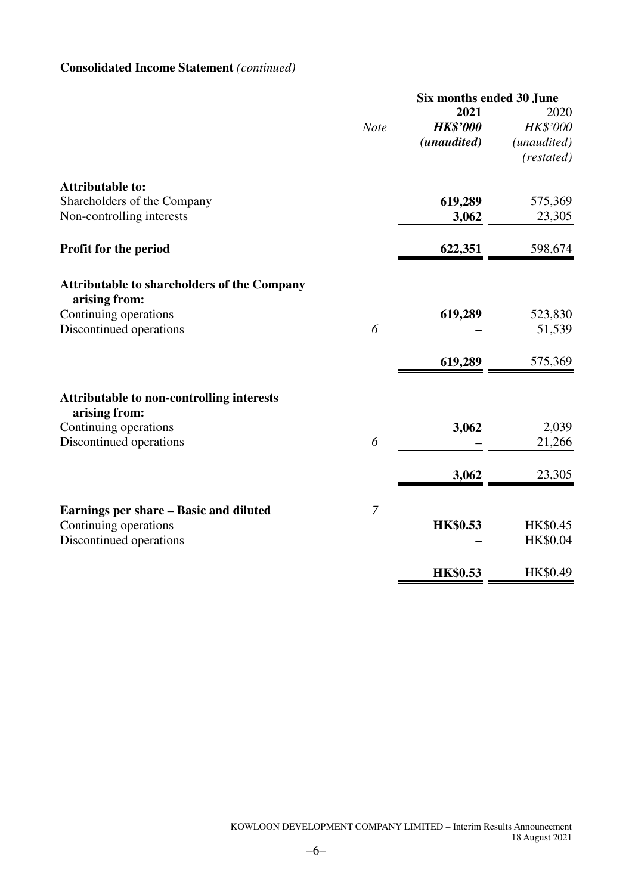# **Consolidated Income Statement** *(continued)*

|                                                                     |                | Six months ended 30 June               |                                 |  |  |
|---------------------------------------------------------------------|----------------|----------------------------------------|---------------------------------|--|--|
|                                                                     | <b>Note</b>    | 2021<br><b>HK\$'000</b><br>(unaudited) | 2020<br>HK\$'000<br>(unaudited) |  |  |
|                                                                     |                |                                        | (restated)                      |  |  |
| <b>Attributable to:</b>                                             |                |                                        |                                 |  |  |
| Shareholders of the Company                                         |                | 619,289                                | 575,369                         |  |  |
| Non-controlling interests                                           |                | 3,062                                  | 23,305                          |  |  |
| Profit for the period                                               |                | 622,351                                | 598,674                         |  |  |
| <b>Attributable to shareholders of the Company</b><br>arising from: |                |                                        |                                 |  |  |
| Continuing operations                                               |                | 619,289                                | 523,830                         |  |  |
| Discontinued operations                                             | 6              |                                        | 51,539                          |  |  |
|                                                                     |                | 619,289                                | 575,369                         |  |  |
| <b>Attributable to non-controlling interests</b><br>arising from:   |                |                                        |                                 |  |  |
| Continuing operations                                               |                | 3,062                                  | 2,039                           |  |  |
| Discontinued operations                                             | 6              |                                        | 21,266                          |  |  |
|                                                                     |                | 3,062                                  | 23,305                          |  |  |
| Earnings per share – Basic and diluted                              | $\overline{7}$ |                                        |                                 |  |  |
| Continuing operations                                               |                | <b>HK\$0.53</b>                        | HK\$0.45                        |  |  |
| Discontinued operations                                             |                |                                        | HK\$0.04                        |  |  |
|                                                                     |                | <b>HK\$0.53</b>                        | HK\$0.49                        |  |  |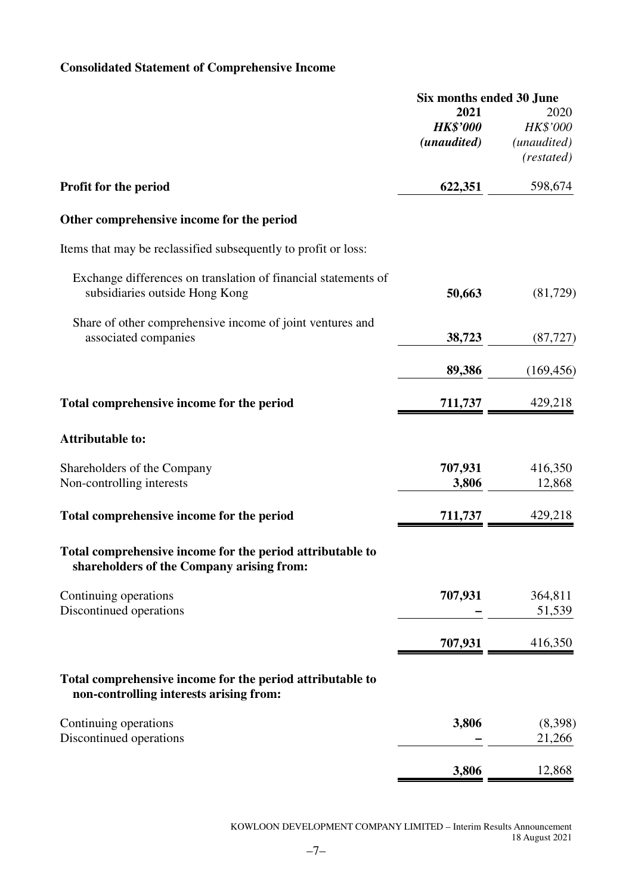# **Consolidated Statement of Comprehensive Income**

|                                                                                                        | Six months ended 30 June |             |
|--------------------------------------------------------------------------------------------------------|--------------------------|-------------|
|                                                                                                        | 2021                     | 2020        |
|                                                                                                        | <b>HK\$'000</b>          | HK\$'000    |
|                                                                                                        | (unaudited)              | (unaudited) |
|                                                                                                        |                          | (restated)  |
| Profit for the period                                                                                  | 622,351                  | 598,674     |
| Other comprehensive income for the period                                                              |                          |             |
| Items that may be reclassified subsequently to profit or loss:                                         |                          |             |
| Exchange differences on translation of financial statements of<br>subsidiaries outside Hong Kong       | 50,663                   | (81, 729)   |
| Share of other comprehensive income of joint ventures and<br>associated companies                      | 38,723                   | (87, 727)   |
|                                                                                                        |                          |             |
|                                                                                                        | 89,386                   | (169, 456)  |
| Total comprehensive income for the period                                                              | 711,737                  | 429,218     |
| <b>Attributable to:</b>                                                                                |                          |             |
| Shareholders of the Company                                                                            | 707,931                  | 416,350     |
| Non-controlling interests                                                                              | 3,806                    | 12,868      |
| Total comprehensive income for the period                                                              | 711,737                  | 429,218     |
| Total comprehensive income for the period attributable to<br>shareholders of the Company arising from: |                          |             |
| Continuing operations                                                                                  | 707,931                  | 364,811     |
| Discontinued operations                                                                                |                          | 51,539      |
|                                                                                                        | 707,931                  | 416,350     |
| Total comprehensive income for the period attributable to<br>non-controlling interests arising from:   |                          |             |
| Continuing operations                                                                                  | 3,806                    | (8,398)     |
| Discontinued operations                                                                                |                          | 21,266      |
|                                                                                                        | 3,806                    | 12,868      |
|                                                                                                        |                          |             |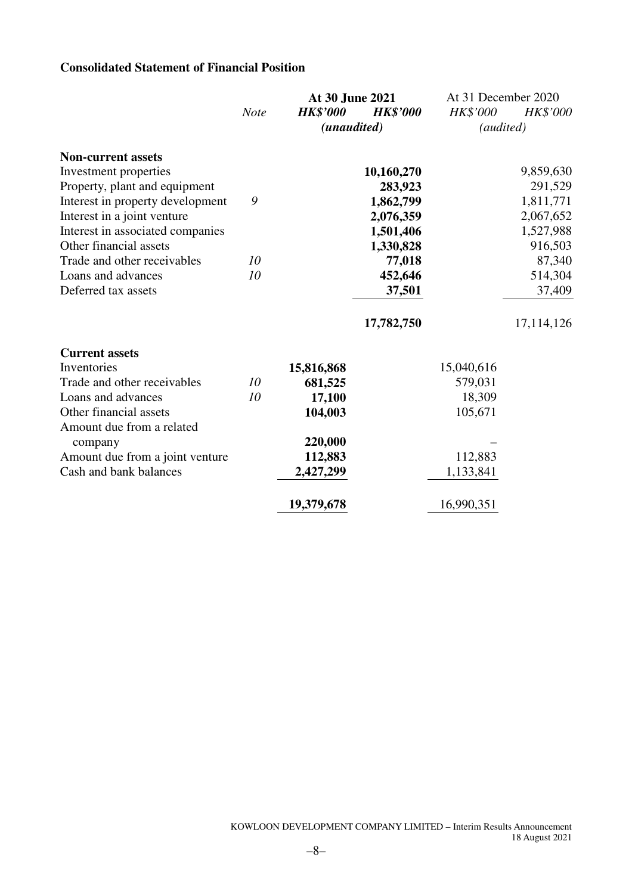### **Consolidated Statement of Financial Position**

|                                  |             | At 30 June 2021 |                 | At 31 December 2020 |                 |
|----------------------------------|-------------|-----------------|-----------------|---------------------|-----------------|
|                                  | <b>Note</b> | <b>HK\$'000</b> | <b>HK\$'000</b> | <b>HK\$'000</b>     | <b>HK\$'000</b> |
|                                  |             | (unaudited)     |                 | (audited)           |                 |
| <b>Non-current assets</b>        |             |                 |                 |                     |                 |
| Investment properties            |             |                 | 10,160,270      |                     | 9,859,630       |
| Property, plant and equipment    |             |                 | 283,923         |                     | 291,529         |
| Interest in property development | 9           |                 | 1,862,799       |                     | 1,811,771       |
| Interest in a joint venture      |             |                 | 2,076,359       |                     | 2,067,652       |
| Interest in associated companies |             |                 | 1,501,406       |                     | 1,527,988       |
| Other financial assets           |             |                 | 1,330,828       |                     | 916,503         |
| Trade and other receivables      | 10          |                 | 77,018          |                     | 87,340          |
| Loans and advances               | 10          |                 | 452,646         |                     | 514,304         |
| Deferred tax assets              |             |                 | 37,501          |                     | 37,409          |
|                                  |             |                 | 17,782,750      |                     | 17,114,126      |
| <b>Current assets</b>            |             |                 |                 |                     |                 |
| Inventories                      |             | 15,816,868      |                 | 15,040,616          |                 |
| Trade and other receivables      | 10          | 681,525         |                 | 579,031             |                 |
| Loans and advances               | 10          | 17,100          |                 | 18,309              |                 |
| Other financial assets           |             | 104,003         |                 | 105,671             |                 |
| Amount due from a related        |             |                 |                 |                     |                 |
| company                          |             | 220,000         |                 |                     |                 |
| Amount due from a joint venture  |             | 112,883         |                 | 112,883             |                 |
| Cash and bank balances           |             | 2,427,299       |                 | 1,133,841           |                 |
|                                  |             | 19,379,678      |                 | 16,990,351          |                 |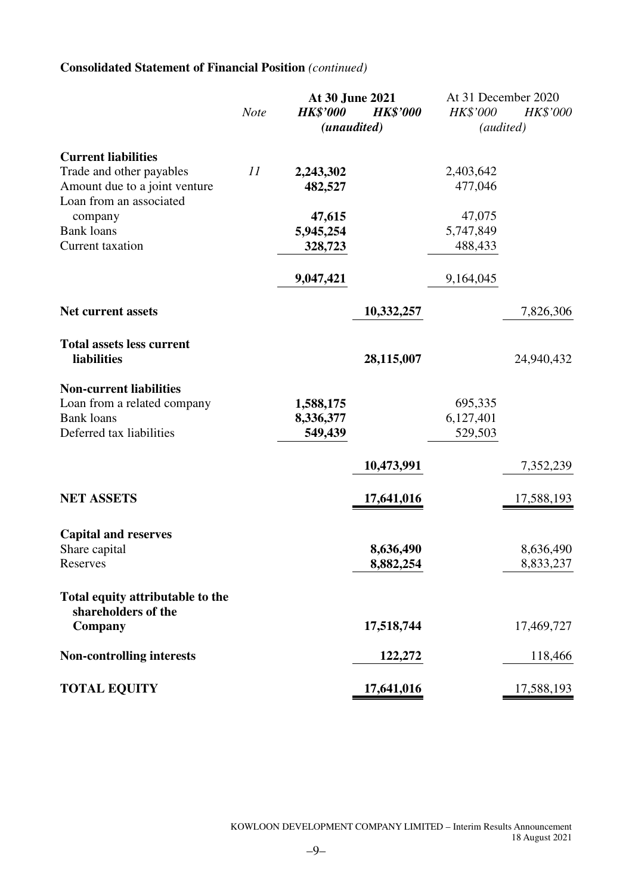# **Consolidated Statement of Financial Position** *(continued)*

|                                                         |             | At 30 June 2021 |                 | At 31 December 2020 |            |  |
|---------------------------------------------------------|-------------|-----------------|-----------------|---------------------|------------|--|
|                                                         | <b>Note</b> | <b>HK\$'000</b> | <b>HK\$'000</b> | HK\$'000            | HK\$'000   |  |
|                                                         |             | (unaudited)     |                 | (audited)           |            |  |
| <b>Current liabilities</b>                              |             |                 |                 |                     |            |  |
| Trade and other payables                                | 11          | 2,243,302       |                 | 2,403,642           |            |  |
| Amount due to a joint venture                           |             | 482,527         |                 | 477,046             |            |  |
| Loan from an associated                                 |             |                 |                 |                     |            |  |
| company                                                 |             | 47,615          |                 | 47,075              |            |  |
| <b>Bank loans</b>                                       |             | 5,945,254       |                 | 5,747,849           |            |  |
| Current taxation                                        |             | 328,723         |                 | 488,433             |            |  |
|                                                         |             | 9,047,421       |                 | 9,164,045           |            |  |
| <b>Net current assets</b>                               |             |                 | 10,332,257      |                     | 7,826,306  |  |
|                                                         |             |                 |                 |                     |            |  |
| <b>Total assets less current</b><br><b>liabilities</b>  |             |                 | 28,115,007      |                     | 24,940,432 |  |
| <b>Non-current liabilities</b>                          |             |                 |                 |                     |            |  |
| Loan from a related company                             |             | 1,588,175       |                 | 695,335             |            |  |
| <b>Bank loans</b>                                       |             | 8,336,377       |                 | 6,127,401           |            |  |
| Deferred tax liabilities                                |             | 549,439         |                 | 529,503             |            |  |
|                                                         |             |                 | 10,473,991      |                     | 7,352,239  |  |
|                                                         |             |                 |                 |                     |            |  |
| <b>NET ASSETS</b>                                       |             |                 | 17,641,016      |                     | 17,588,193 |  |
|                                                         |             |                 |                 |                     |            |  |
| <b>Capital and reserves</b>                             |             |                 |                 |                     |            |  |
| Share capital                                           |             |                 | 8,636,490       |                     | 8,636,490  |  |
| Reserves                                                |             |                 | 8,882,254       |                     | 8,833,237  |  |
| Total equity attributable to the<br>shareholders of the |             |                 |                 |                     |            |  |
| Company                                                 |             |                 | 17,518,744      |                     | 17,469,727 |  |
| <b>Non-controlling interests</b>                        |             |                 | 122,272         |                     | 118,466    |  |
| <b>TOTAL EQUITY</b>                                     |             |                 | 17,641,016      |                     | 17,588,193 |  |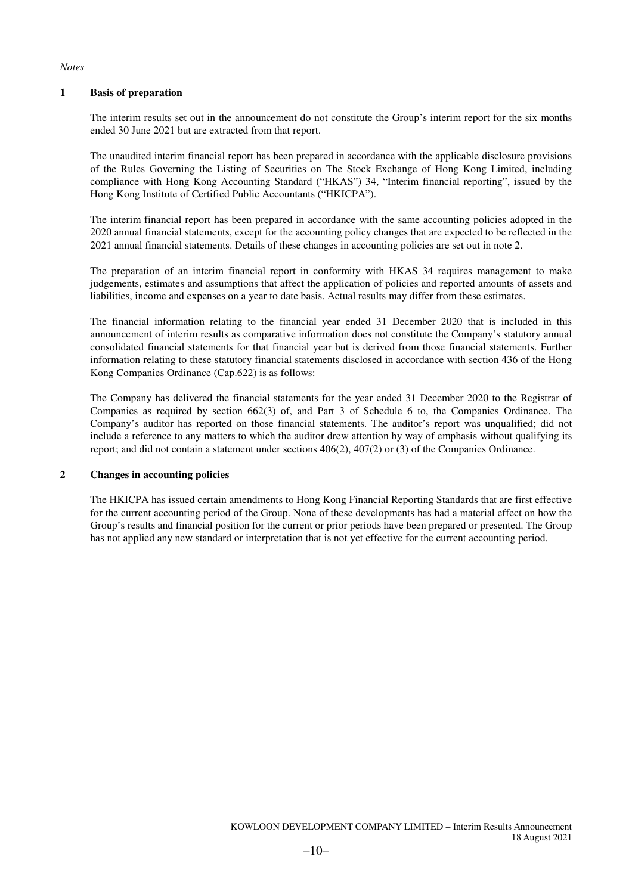*Notes* 

#### **1 Basis of preparation**

The interim results set out in the announcement do not constitute the Group's interim report for the six months ended 30 June 2021 but are extracted from that report.

The unaudited interim financial report has been prepared in accordance with the applicable disclosure provisions of the Rules Governing the Listing of Securities on The Stock Exchange of Hong Kong Limited, including compliance with Hong Kong Accounting Standard ("HKAS") 34, "Interim financial reporting", issued by the Hong Kong Institute of Certified Public Accountants ("HKICPA").

The interim financial report has been prepared in accordance with the same accounting policies adopted in the 2020 annual financial statements, except for the accounting policy changes that are expected to be reflected in the 2021 annual financial statements. Details of these changes in accounting policies are set out in note 2.

The preparation of an interim financial report in conformity with HKAS 34 requires management to make judgements, estimates and assumptions that affect the application of policies and reported amounts of assets and liabilities, income and expenses on a year to date basis. Actual results may differ from these estimates.

The financial information relating to the financial year ended 31 December 2020 that is included in this announcement of interim results as comparative information does not constitute the Company's statutory annual consolidated financial statements for that financial year but is derived from those financial statements. Further information relating to these statutory financial statements disclosed in accordance with section 436 of the Hong Kong Companies Ordinance (Cap.622) is as follows:

The Company has delivered the financial statements for the year ended 31 December 2020 to the Registrar of Companies as required by section 662(3) of, and Part 3 of Schedule 6 to, the Companies Ordinance. The Company's auditor has reported on those financial statements. The auditor's report was unqualified; did not include a reference to any matters to which the auditor drew attention by way of emphasis without qualifying its report; and did not contain a statement under sections 406(2), 407(2) or (3) of the Companies Ordinance.

#### **2 Changes in accounting policies**

The HKICPA has issued certain amendments to Hong Kong Financial Reporting Standards that are first effective for the current accounting period of the Group. None of these developments has had a material effect on how the Group's results and financial position for the current or prior periods have been prepared or presented. The Group has not applied any new standard or interpretation that is not yet effective for the current accounting period.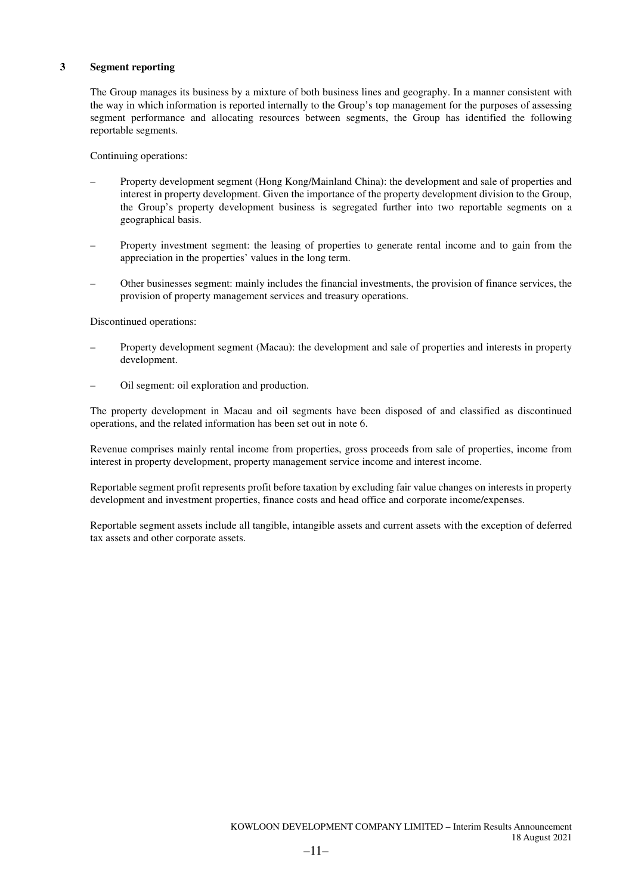#### **3 Segment reporting**

The Group manages its business by a mixture of both business lines and geography. In a manner consistent with the way in which information is reported internally to the Group's top management for the purposes of assessing segment performance and allocating resources between segments, the Group has identified the following reportable segments.

Continuing operations:

- Property development segment (Hong Kong/Mainland China): the development and sale of properties and interest in property development. Given the importance of the property development division to the Group, the Group's property development business is segregated further into two reportable segments on a geographical basis.
- Property investment segment: the leasing of properties to generate rental income and to gain from the appreciation in the properties' values in the long term.
- Other businesses segment: mainly includes the financial investments, the provision of finance services, the provision of property management services and treasury operations.

Discontinued operations:

- Property development segment (Macau): the development and sale of properties and interests in property development.
- Oil segment: oil exploration and production.

The property development in Macau and oil segments have been disposed of and classified as discontinued operations, and the related information has been set out in note 6.

Revenue comprises mainly rental income from properties, gross proceeds from sale of properties, income from interest in property development, property management service income and interest income.

Reportable segment profit represents profit before taxation by excluding fair value changes on interests in property development and investment properties, finance costs and head office and corporate income/expenses.

Reportable segment assets include all tangible, intangible assets and current assets with the exception of deferred tax assets and other corporate assets.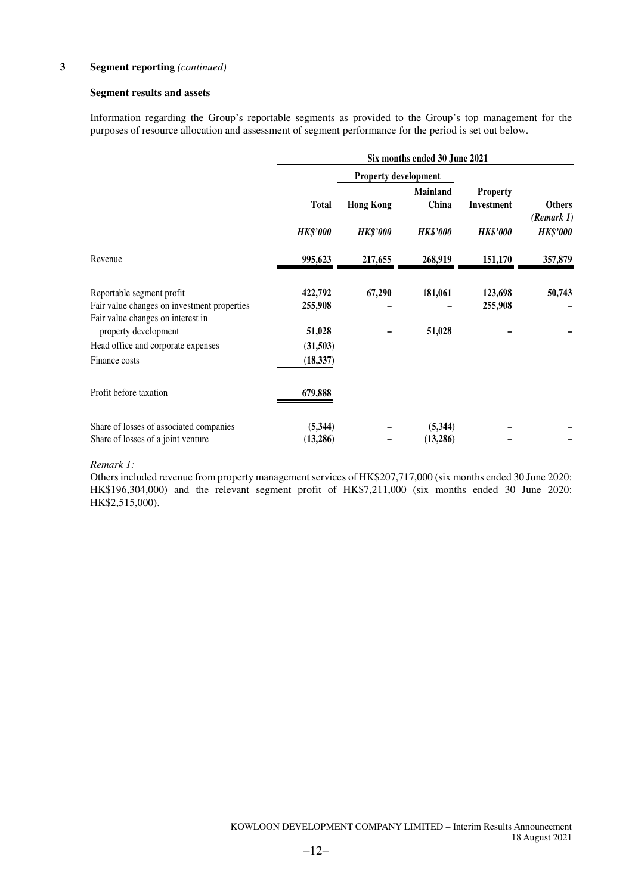#### **3 Segment reporting** *(continued)*

#### **Segment results and assets**

Information regarding the Group's reportable segments as provided to the Group's top management for the purposes of resource allocation and assessment of segment performance for the period is set out below.

|                                                                                  | Six months ended 30 June 2021   |                                     |                                      |                                                         |                                                |  |  |  |
|----------------------------------------------------------------------------------|---------------------------------|-------------------------------------|--------------------------------------|---------------------------------------------------------|------------------------------------------------|--|--|--|
|                                                                                  |                                 | Property development                |                                      |                                                         |                                                |  |  |  |
|                                                                                  | <b>Total</b><br><b>HK\$'000</b> | <b>Hong Kong</b><br><b>HK\$'000</b> | Mainland<br>China<br><b>HK\$'000</b> | <b>Property</b><br><b>Investment</b><br><b>HK\$'000</b> | <b>Others</b><br>(Remark 1)<br><b>HK\$'000</b> |  |  |  |
|                                                                                  |                                 |                                     |                                      |                                                         |                                                |  |  |  |
| Revenue                                                                          | 995,623                         | 217,655                             | 268,919                              | 151,170                                                 | 357,879                                        |  |  |  |
| Reportable segment profit                                                        | 422,792                         | 67,290                              | 181,061                              | 123,698                                                 | 50,743                                         |  |  |  |
| Fair value changes on investment properties<br>Fair value changes on interest in | 255,908                         |                                     |                                      | 255,908                                                 |                                                |  |  |  |
| property development                                                             | 51,028                          |                                     | 51,028                               |                                                         |                                                |  |  |  |
| Head office and corporate expenses                                               | (31,503)                        |                                     |                                      |                                                         |                                                |  |  |  |
| Finance costs                                                                    | (18, 337)                       |                                     |                                      |                                                         |                                                |  |  |  |
| Profit before taxation                                                           | 679,888                         |                                     |                                      |                                                         |                                                |  |  |  |
| Share of losses of associated companies                                          | (5,344)                         |                                     | (5, 344)                             |                                                         |                                                |  |  |  |
| Share of losses of a joint venture                                               | (13,286)                        |                                     | (13,286)                             |                                                         |                                                |  |  |  |

#### *Remark 1:*

Others included revenue from property management services of HK\$207,717,000 (six months ended 30 June 2020: HK\$196,304,000) and the relevant segment profit of HK\$7,211,000 (six months ended 30 June 2020: HK\$2,515,000).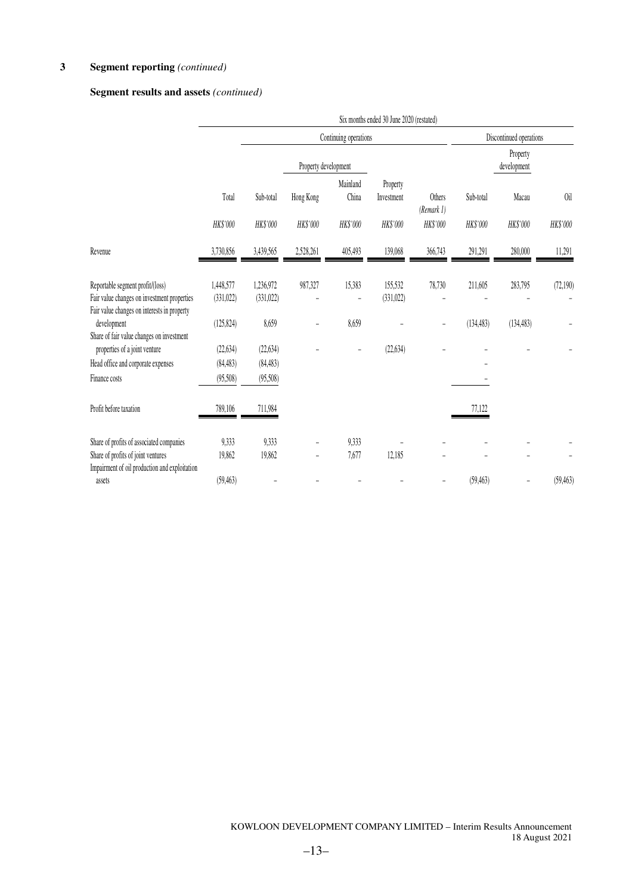### **3 Segment reporting** *(continued)*

### **Segment results and assets** *(continued)*

|                                                                                     |                         | Continuing operations   |                      |                   |                        |                      | Discontinued operations |                         |           |
|-------------------------------------------------------------------------------------|-------------------------|-------------------------|----------------------|-------------------|------------------------|----------------------|-------------------------|-------------------------|-----------|
|                                                                                     |                         |                         | Property development |                   |                        |                      |                         | Property<br>development |           |
|                                                                                     | Total                   | Sub-total               | Hong Kong            | Mainland<br>China | Property<br>Investment | Others<br>(Remark 1) | Sub-total               | Macau                   | 0il       |
|                                                                                     | HK\$'000                | HK\$'000                | HK\$'000             | HK\$'000          | HK\$'000               | HK\$'000             | HK\$'000                | HK\$'000                | HK\$'000  |
| Revenue                                                                             | 3,730,856               | 3,439,565               | 2,528,261            | 405,493           | 139,068                | 366,743              | 291,291                 | 280,000                 | 11,291    |
| Reportable segment profit/(loss)<br>Fair value changes on investment properties     | 1,448,577<br>(331, 022) | 1,236,972<br>(331, 022) | 987,327              | 15,383            | 155,532<br>(331,022)   | 78,730               | 211,605                 | 283,795                 | (72, 190) |
| Fair value changes on interests in property<br>development                          | (125, 824)              | 8,659                   | $\overline{a}$       | 8,659             |                        | ÷                    | (134, 483)              | (134, 483)              |           |
| Share of fair value changes on investment<br>properties of a joint venture          | (22, 634)               | (22, 634)               |                      | $\overline{a}$    | (22, 634)              |                      |                         |                         |           |
| Head office and corporate expenses                                                  | (84, 483)               | (84, 483)               |                      |                   |                        |                      |                         |                         |           |
| Finance costs                                                                       | (95,508)                | (95,508)                |                      |                   |                        |                      |                         |                         |           |
| Profit before taxation                                                              | 789,106                 | 711,984                 |                      |                   |                        |                      | 77,122                  |                         |           |
| Share of profits of associated companies                                            | 9,333                   | 9,333                   |                      | 9,333             |                        |                      |                         |                         |           |
| Share of profits of joint ventures<br>Impairment of oil production and exploitation | 19,862                  | 19,862                  |                      | 7,677             | 12,185                 |                      |                         |                         |           |
| assets                                                                              | (59, 463)               |                         |                      |                   |                        |                      | (59, 463)               |                         | (59, 463) |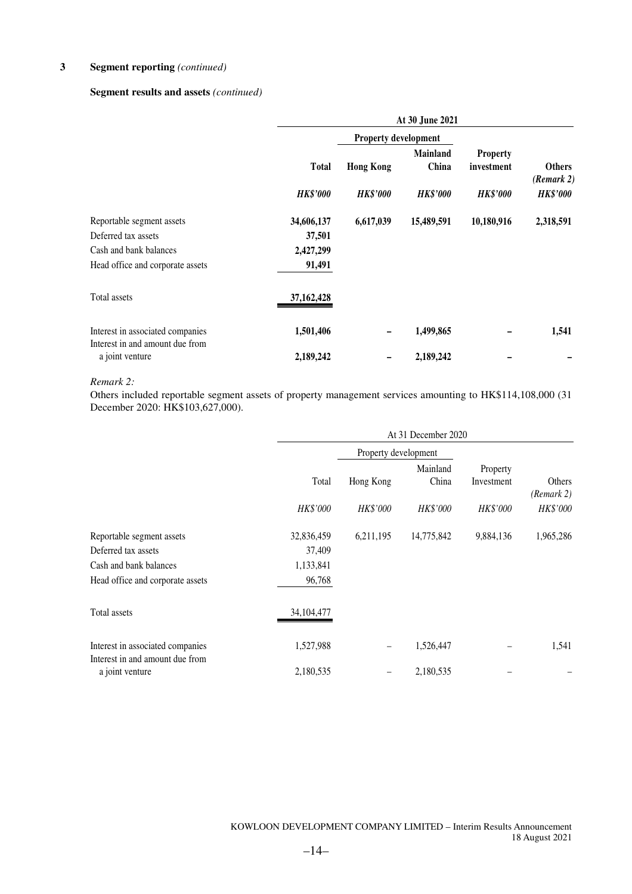### **3 Segment reporting** *(continued)*

#### **Segment results and assets** *(continued)*

|                                                                     | At 30 June 2021                 |                                     |                                             |                                                  |                                                |  |  |  |
|---------------------------------------------------------------------|---------------------------------|-------------------------------------|---------------------------------------------|--------------------------------------------------|------------------------------------------------|--|--|--|
|                                                                     |                                 | <b>Property development</b>         |                                             |                                                  |                                                |  |  |  |
|                                                                     | <b>Total</b><br><b>HK\$'000</b> | <b>Hong Kong</b><br><b>HK\$'000</b> | <b>Mainland</b><br>China<br><b>HK\$'000</b> | <b>Property</b><br>investment<br><b>HK\$'000</b> | <b>Others</b><br>(Remark 2)<br><b>HK\$'000</b> |  |  |  |
|                                                                     |                                 |                                     |                                             |                                                  |                                                |  |  |  |
| Reportable segment assets                                           | 34,606,137                      | 6,617,039                           | 15,489,591                                  | 10,180,916                                       | 2,318,591                                      |  |  |  |
| Deferred tax assets                                                 | 37,501                          |                                     |                                             |                                                  |                                                |  |  |  |
| Cash and bank balances                                              | 2,427,299                       |                                     |                                             |                                                  |                                                |  |  |  |
| Head office and corporate assets                                    | 91,491                          |                                     |                                             |                                                  |                                                |  |  |  |
| Total assets                                                        | 37,162,428                      |                                     |                                             |                                                  |                                                |  |  |  |
| Interest in associated companies<br>Interest in and amount due from | 1,501,406                       | -                                   | 1,499,865                                   |                                                  | 1,541                                          |  |  |  |
| a joint venture                                                     | 2,189,242                       |                                     | 2,189,242                                   |                                                  |                                                |  |  |  |

#### *Remark 2:*

Others included reportable segment assets of property management services amounting to HK\$114,108,000 (31 December 2020: HK\$103,627,000).

|                                                                     |              | At 31 December 2020  |                   |                        |                      |
|---------------------------------------------------------------------|--------------|----------------------|-------------------|------------------------|----------------------|
|                                                                     |              | Property development |                   |                        |                      |
|                                                                     | Total        | Hong Kong            | Mainland<br>China | Property<br>Investment | Others<br>(Remark 2) |
|                                                                     | HK\$'000     | HK\$'000             | HK\$'000          | HK\$'000               | HK\$'000             |
| Reportable segment assets                                           | 32,836,459   | 6,211,195            | 14,775,842        | 9,884,136              | 1,965,286            |
| Deferred tax assets                                                 | 37,409       |                      |                   |                        |                      |
| Cash and bank balances                                              | 1,133,841    |                      |                   |                        |                      |
| Head office and corporate assets                                    | 96,768       |                      |                   |                        |                      |
| Total assets                                                        | 34, 104, 477 |                      |                   |                        |                      |
| Interest in associated companies<br>Interest in and amount due from | 1,527,988    |                      | 1,526,447         |                        | 1,541                |
| a joint venture                                                     | 2,180,535    |                      | 2,180,535         |                        |                      |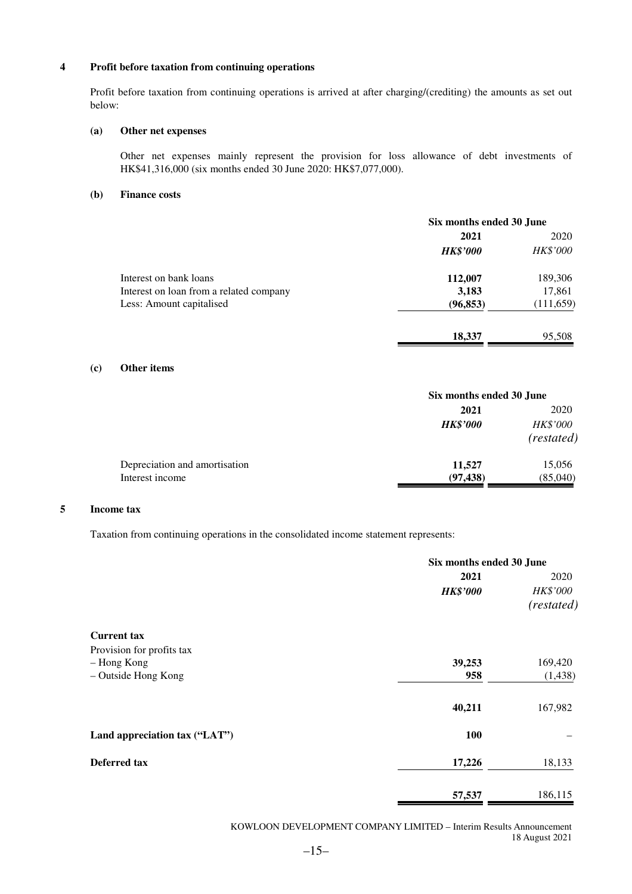#### **4 Profit before taxation from continuing operations**

Profit before taxation from continuing operations is arrived at after charging/(crediting) the amounts as set out below:

#### **(a) Other net expenses**

Other net expenses mainly represent the provision for loss allowance of debt investments of HK\$41,316,000 (six months ended 30 June 2020: HK\$7,077,000).

#### **(b) Finance costs**

|                                         | Six months ended 30 June |                 |
|-----------------------------------------|--------------------------|-----------------|
|                                         | 2021                     | 2020            |
|                                         | <b>HK\$'000</b>          | <b>HK\$'000</b> |
| Interest on bank loans                  | 112,007                  | 189,306         |
| Interest on loan from a related company | 3,183                    | 17,861          |
| Less: Amount capitalised                | (96, 853)                | (111, 659)      |
|                                         | 18,337                   | 95,508          |

#### **(c) Other items**

|                               |                 | Six months ended 30 June      |  |
|-------------------------------|-----------------|-------------------------------|--|
|                               | 2021            | 2020                          |  |
|                               | <b>HK\$'000</b> | <b>HK\$'000</b><br>(restated) |  |
| Depreciation and amortisation | 11,527          | 15,056                        |  |
| Interest income               | (97, 438)       | (85,040)                      |  |

#### **5 Income tax**

Taxation from continuing operations in the consolidated income statement represents:

|                               |                 | Six months ended 30 June |  |
|-------------------------------|-----------------|--------------------------|--|
|                               | 2021            | 2020                     |  |
|                               | <b>HK\$'000</b> | <b>HK\$'000</b>          |  |
|                               |                 | (restated)               |  |
| <b>Current tax</b>            |                 |                          |  |
| Provision for profits tax     |                 |                          |  |
| - Hong Kong                   | 39,253          | 169,420                  |  |
| - Outside Hong Kong           | 958             | (1, 438)                 |  |
|                               | 40,211          | 167,982                  |  |
| Land appreciation tax ("LAT") | <b>100</b>      |                          |  |
| Deferred tax                  | 17,226          | 18,133                   |  |
|                               | 57,537          | 186,115                  |  |

KOWLOON DEVELOPMENT COMPANY LIMITED – Interim Results Announcement 18 August 2021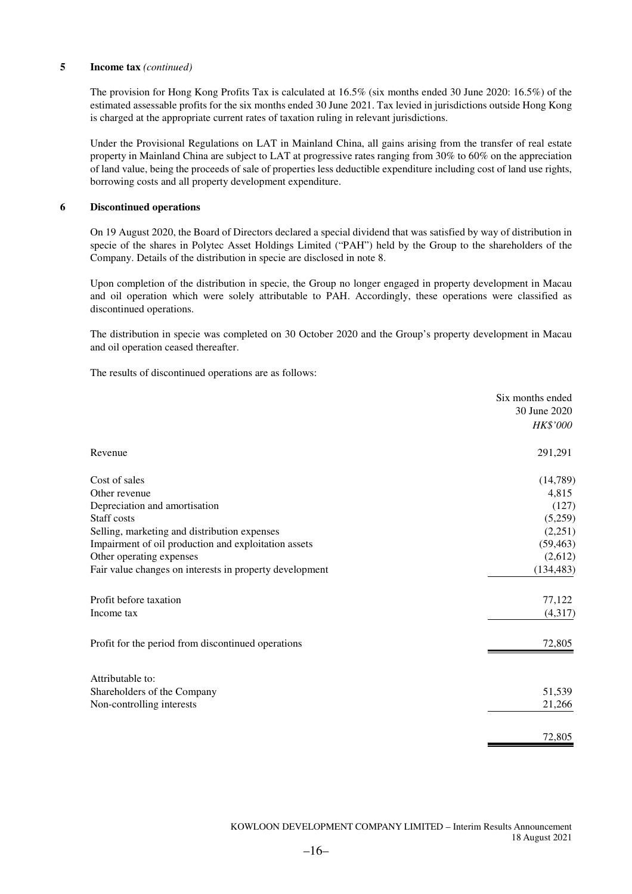#### **5 Income tax** *(continued)*

The provision for Hong Kong Profits Tax is calculated at 16.5% (six months ended 30 June 2020: 16.5%) of the estimated assessable profits for the six months ended 30 June 2021. Tax levied in jurisdictions outside Hong Kong is charged at the appropriate current rates of taxation ruling in relevant jurisdictions.

Under the Provisional Regulations on LAT in Mainland China, all gains arising from the transfer of real estate property in Mainland China are subject to LAT at progressive rates ranging from 30% to 60% on the appreciation of land value, being the proceeds of sale of properties less deductible expenditure including cost of land use rights, borrowing costs and all property development expenditure.

#### **6 Discontinued operations**

On 19 August 2020, the Board of Directors declared a special dividend that was satisfied by way of distribution in specie of the shares in Polytec Asset Holdings Limited ("PAH") held by the Group to the shareholders of the Company. Details of the distribution in specie are disclosed in note 8.

Upon completion of the distribution in specie, the Group no longer engaged in property development in Macau and oil operation which were solely attributable to PAH. Accordingly, these operations were classified as discontinued operations.

The distribution in specie was completed on 30 October 2020 and the Group's property development in Macau and oil operation ceased thereafter.

The results of discontinued operations are as follows:

|                                                         | Six months ended |
|---------------------------------------------------------|------------------|
|                                                         | 30 June 2020     |
|                                                         | HK\$'000         |
| Revenue                                                 | 291,291          |
| Cost of sales                                           | (14,789)         |
| Other revenue                                           | 4,815            |
| Depreciation and amortisation                           | (127)            |
| Staff costs                                             | (5,259)          |
| Selling, marketing and distribution expenses            | (2,251)          |
| Impairment of oil production and exploitation assets    | (59, 463)        |
| Other operating expenses                                | (2,612)          |
| Fair value changes on interests in property development | (134, 483)       |
| Profit before taxation                                  | 77,122           |
| Income tax                                              | (4,317)          |
| Profit for the period from discontinued operations      | 72,805           |
| Attributable to:                                        |                  |
| Shareholders of the Company                             | 51,539           |
| Non-controlling interests                               | 21,266           |
|                                                         | 72,805           |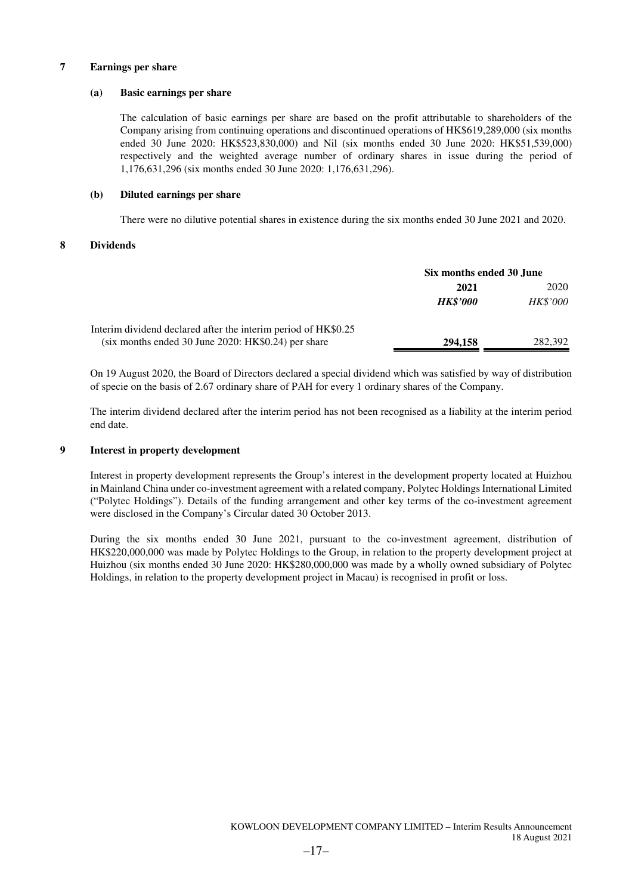#### **7 Earnings per share**

#### **(a) Basic earnings per share**

The calculation of basic earnings per share are based on the profit attributable to shareholders of the Company arising from continuing operations and discontinued operations of HK\$619,289,000 (six months ended 30 June 2020: HK\$523,830,000) and Nil (six months ended 30 June 2020: HK\$51,539,000) respectively and the weighted average number of ordinary shares in issue during the period of 1,176,631,296 (six months ended 30 June 2020: 1,176,631,296).

#### **(b) Diluted earnings per share**

There were no dilutive potential shares in existence during the six months ended 30 June 2021 and 2020.

#### **8 Dividends**

|                                                                | Six months ended 30 June |                 |
|----------------------------------------------------------------|--------------------------|-----------------|
|                                                                | 2021                     | 2020            |
|                                                                | <b>HK\$'000</b>          | <b>HK\$'000</b> |
| Interim dividend declared after the interim period of HK\$0.25 |                          |                 |
| $(six$ months ended 30 June 2020: HK\$0.24) per share          | 294,158                  | 282,392         |

On 19 August 2020, the Board of Directors declared a special dividend which was satisfied by way of distribution of specie on the basis of 2.67 ordinary share of PAH for every 1 ordinary shares of the Company.

The interim dividend declared after the interim period has not been recognised as a liability at the interim period end date.

#### **9 Interest in property development**

Interest in property development represents the Group's interest in the development property located at Huizhou in Mainland China under co-investment agreement with a related company, Polytec Holdings International Limited ("Polytec Holdings"). Details of the funding arrangement and other key terms of the co-investment agreement were disclosed in the Company's Circular dated 30 October 2013.

During the six months ended 30 June 2021, pursuant to the co-investment agreement, distribution of HK\$220,000,000 was made by Polytec Holdings to the Group, in relation to the property development project at Huizhou (six months ended 30 June 2020: HK\$280,000,000 was made by a wholly owned subsidiary of Polytec Holdings, in relation to the property development project in Macau) is recognised in profit or loss.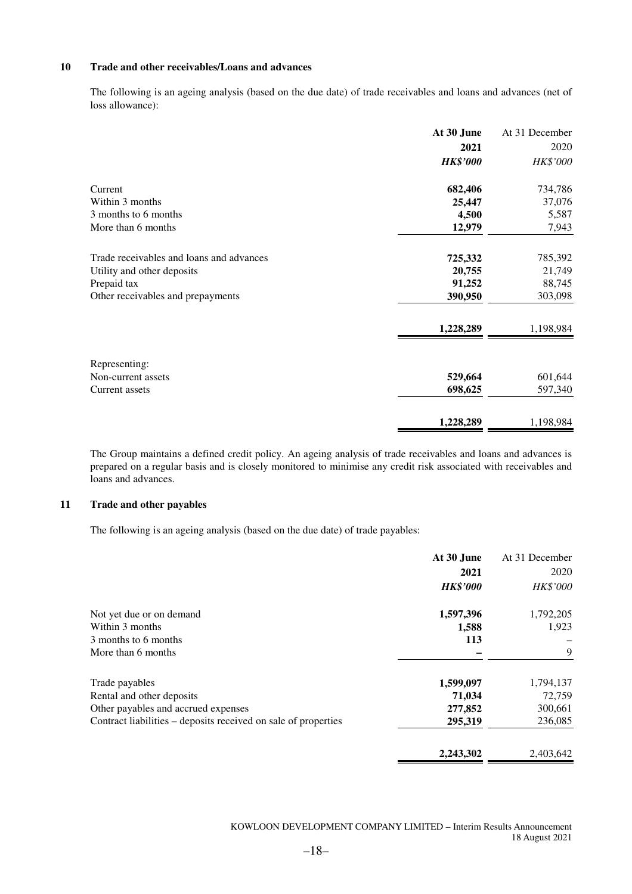### **10 Trade and other receivables/Loans and advances**

The following is an ageing analysis (based on the due date) of trade receivables and loans and advances (net of loss allowance):

|                                          | At 30 June      | At 31 December |
|------------------------------------------|-----------------|----------------|
|                                          | 2021            | 2020           |
|                                          | <b>HK\$'000</b> | HK\$'000       |
| Current                                  | 682,406         | 734,786        |
| Within 3 months                          | 25,447          | 37,076         |
| 3 months to 6 months                     | 4,500           | 5,587          |
| More than 6 months                       | 12,979          | 7,943          |
| Trade receivables and loans and advances | 725,332         | 785,392        |
| Utility and other deposits               | 20,755          | 21,749         |
| Prepaid tax                              | 91,252          | 88,745         |
| Other receivables and prepayments        | 390,950         | 303,098        |
|                                          | 1,228,289       | 1,198,984      |
| Representing:                            |                 |                |
| Non-current assets                       | 529,664         | 601,644        |
| Current assets                           | 698,625         | 597,340        |
|                                          | 1,228,289       | 1,198,984      |

The Group maintains a defined credit policy. An ageing analysis of trade receivables and loans and advances is prepared on a regular basis and is closely monitored to minimise any credit risk associated with receivables and loans and advances.

#### **11 Trade and other payables**

The following is an ageing analysis (based on the due date) of trade payables:

|                                                                | At 30 June      | At 31 December |
|----------------------------------------------------------------|-----------------|----------------|
|                                                                | 2021            | 2020           |
|                                                                | <b>HK\$'000</b> | HK\$'000       |
| Not yet due or on demand                                       | 1,597,396       | 1,792,205      |
| Within 3 months                                                | 1,588           | 1,923          |
| 3 months to 6 months                                           | 113             |                |
| More than 6 months                                             |                 | 9              |
| Trade payables                                                 | 1,599,097       | 1,794,137      |
| Rental and other deposits                                      | 71,034          | 72,759         |
| Other payables and accrued expenses                            | 277,852         | 300,661        |
| Contract liabilities - deposits received on sale of properties | 295,319         | 236,085        |
|                                                                | 2,243,302       | 2,403,642      |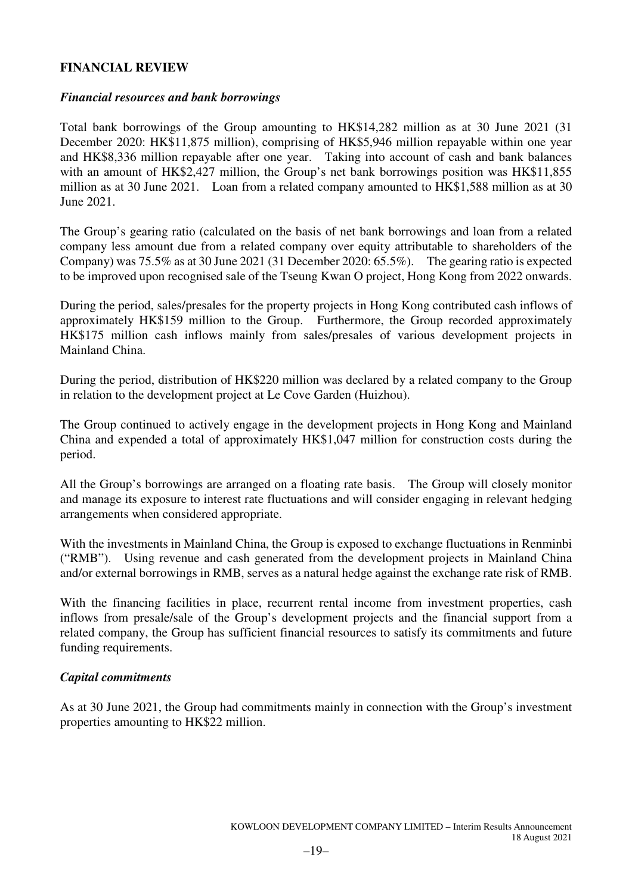### **FINANCIAL REVIEW**

### *Financial resources and bank borrowings*

Total bank borrowings of the Group amounting to HK\$14,282 million as at 30 June 2021 (31 December 2020: HK\$11,875 million), comprising of HK\$5,946 million repayable within one year and HK\$8,336 million repayable after one year. Taking into account of cash and bank balances with an amount of HK\$2,427 million, the Group's net bank borrowings position was HK\$11,855 million as at 30 June 2021. Loan from a related company amounted to HK\$1,588 million as at 30 June 2021.

The Group's gearing ratio (calculated on the basis of net bank borrowings and loan from a related company less amount due from a related company over equity attributable to shareholders of the Company) was 75.5% as at 30 June 2021 (31 December 2020: 65.5%). The gearing ratio is expected to be improved upon recognised sale of the Tseung Kwan O project, Hong Kong from 2022 onwards.

During the period, sales/presales for the property projects in Hong Kong contributed cash inflows of approximately HK\$159 million to the Group. Furthermore, the Group recorded approximately HK\$175 million cash inflows mainly from sales/presales of various development projects in Mainland China.

During the period, distribution of HK\$220 million was declared by a related company to the Group in relation to the development project at Le Cove Garden (Huizhou).

The Group continued to actively engage in the development projects in Hong Kong and Mainland China and expended a total of approximately HK\$1,047 million for construction costs during the period.

All the Group's borrowings are arranged on a floating rate basis. The Group will closely monitor and manage its exposure to interest rate fluctuations and will consider engaging in relevant hedging arrangements when considered appropriate.

With the investments in Mainland China, the Group is exposed to exchange fluctuations in Renminbi ("RMB"). Using revenue and cash generated from the development projects in Mainland China and/or external borrowings in RMB, serves as a natural hedge against the exchange rate risk of RMB.

With the financing facilities in place, recurrent rental income from investment properties, cash inflows from presale/sale of the Group's development projects and the financial support from a related company, the Group has sufficient financial resources to satisfy its commitments and future funding requirements.

### *Capital commitments*

As at 30 June 2021, the Group had commitments mainly in connection with the Group's investment properties amounting to HK\$22 million.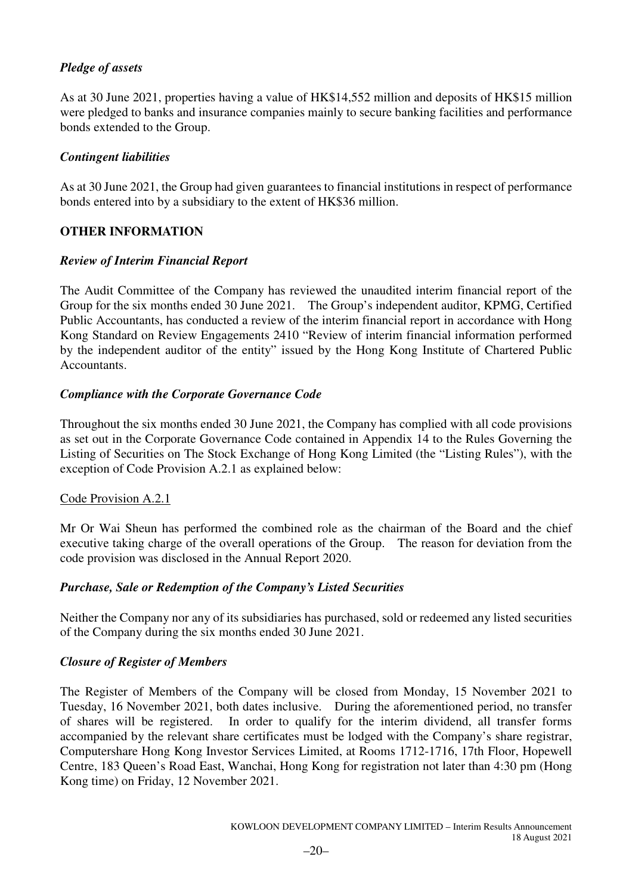### *Pledge of assets*

As at 30 June 2021, properties having a value of HK\$14,552 million and deposits of HK\$15 million were pledged to banks and insurance companies mainly to secure banking facilities and performance bonds extended to the Group.

### *Contingent liabilities*

As at 30 June 2021, the Group had given guarantees to financial institutions in respect of performance bonds entered into by a subsidiary to the extent of HK\$36 million.

### **OTHER INFORMATION**

### *Review of Interim Financial Report*

The Audit Committee of the Company has reviewed the unaudited interim financial report of the Group for the six months ended 30 June 2021. The Group's independent auditor, KPMG, Certified Public Accountants, has conducted a review of the interim financial report in accordance with Hong Kong Standard on Review Engagements 2410 "Review of interim financial information performed by the independent auditor of the entity" issued by the Hong Kong Institute of Chartered Public Accountants.

### *Compliance with the Corporate Governance Code*

Throughout the six months ended 30 June 2021, the Company has complied with all code provisions as set out in the Corporate Governance Code contained in Appendix 14 to the Rules Governing the Listing of Securities on The Stock Exchange of Hong Kong Limited (the "Listing Rules"), with the exception of Code Provision A.2.1 as explained below:

### Code Provision A.2.1

Mr Or Wai Sheun has performed the combined role as the chairman of the Board and the chief executive taking charge of the overall operations of the Group. The reason for deviation from the code provision was disclosed in the Annual Report 2020.

### *Purchase, Sale or Redemption of the Company's Listed Securities*

Neither the Company nor any of its subsidiaries has purchased, sold or redeemed any listed securities of the Company during the six months ended 30 June 2021.

### *Closure of Register of Members*

The Register of Members of the Company will be closed from Monday, 15 November 2021 to Tuesday, 16 November 2021, both dates inclusive. During the aforementioned period, no transfer of shares will be registered. In order to qualify for the interim dividend, all transfer forms accompanied by the relevant share certificates must be lodged with the Company's share registrar, Computershare Hong Kong Investor Services Limited, at Rooms 1712-1716, 17th Floor, Hopewell Centre, 183 Queen's Road East, Wanchai, Hong Kong for registration not later than 4:30 pm (Hong Kong time) on Friday, 12 November 2021.